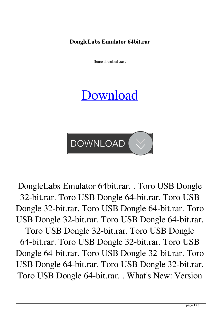**DongleLabs Emulator 64bit.rar**

fbture download .rar .

## [Download](http://evacdir.com/crypts/dracaena.readjust?ZG93bmxvYWR8Zmg5TW5KcVkzeDhNVFkxTWpjME1EZzJObng4TWpVM05IeDhLRTBwSUhKbFlXUXRZbXh2WnlCYlJtRnpkQ0JIUlU1ZA=mornhinweg.rollaway.RG9uZ2xlTGFicyBFbXVsYXRvciA2NGJpdC5yYXIRG9.sedan)

**DOWNLOAD** 

DongleLabs Emulator 64bit.rar. . Toro USB Dongle 32-bit.rar. Toro USB Dongle 64-bit.rar. Toro USB Dongle 32-bit.rar. Toro USB Dongle 64-bit.rar. Toro USB Dongle 32-bit.rar. Toro USB Dongle 64-bit.rar. Toro USB Dongle 32-bit.rar. Toro USB Dongle 64-bit.rar. Toro USB Dongle 32-bit.rar. Toro USB Dongle 64-bit.rar. Toro USB Dongle 32-bit.rar. Toro USB Dongle 64-bit.rar. Toro USB Dongle 32-bit.rar. Toro USB Dongle 64-bit.rar. . What's New: Version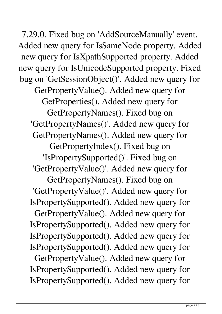7.29.0. Fixed bug on 'AddSourceManually' event. Added new query for IsSameNode property. Added new query for IsXpathSupported property. Added new query for IsUnicodeSupported property. Fixed bug on 'GetSessionObject()'. Added new query for GetPropertyValue(). Added new query for GetProperties(). Added new query for GetPropertyNames(). Fixed bug on 'GetPropertyNames()'. Added new query for GetPropertyNames(). Added new query for GetPropertyIndex(). Fixed bug on 'IsPropertySupported()'. Fixed bug on 'GetPropertyValue()'. Added new query for GetPropertyNames(). Fixed bug on 'GetPropertyValue()'. Added new query for IsPropertySupported(). Added new query for GetPropertyValue(). Added new query for IsPropertySupported(). Added new query for IsPropertySupported(). Added new query for IsPropertySupported(). Added new query for GetPropertyValue(). Added new query for IsPropertySupported(). Added new query for IsPropertySupported(). Added new query for